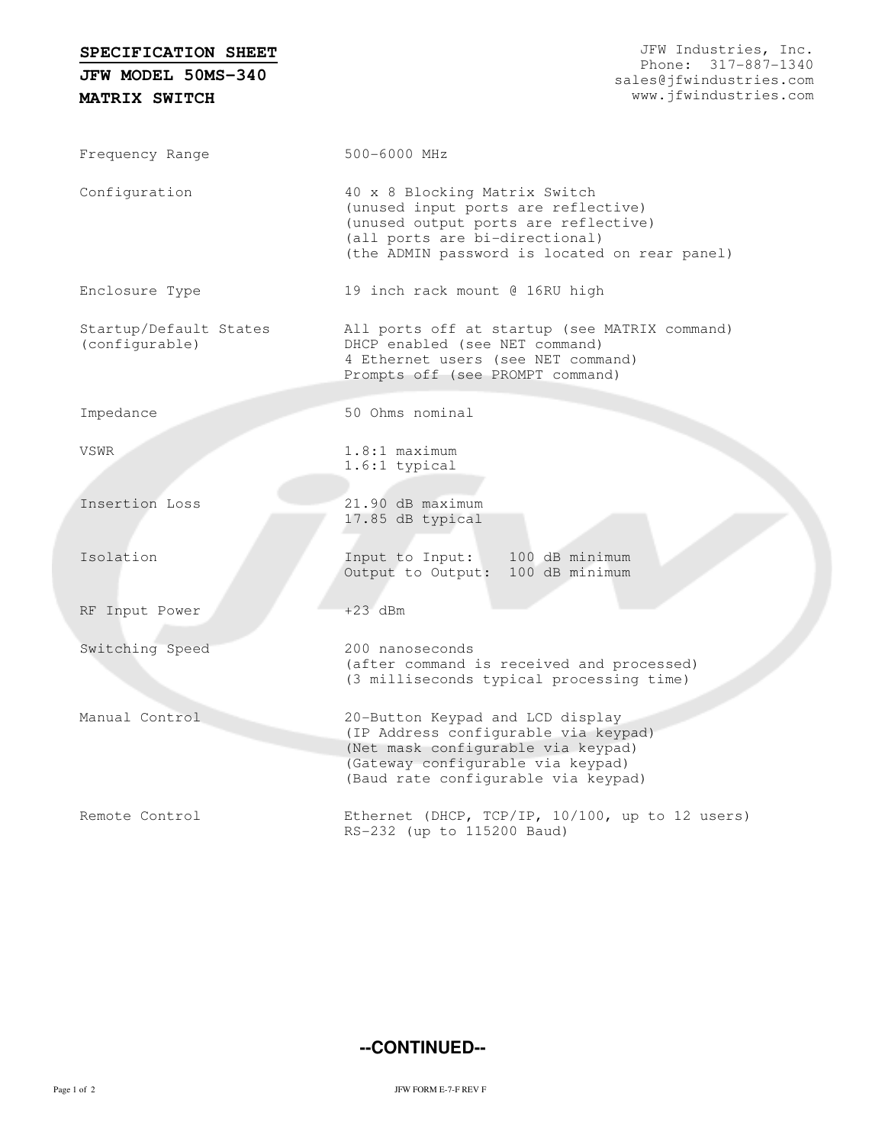## **SPECIFICATION SHEET**

**MATRIX SWITCH JFW MODEL 50MS-340**

Frequency Range 500-6000 MHz Configuration 40 x 8 Blocking Matrix Switch (unused input ports are reflective) (unused output ports are reflective) (all ports are bi-directional) (the ADMIN password is located on rear panel) Enclosure Type 19 inch rack mount @ 16RU high Startup/Default States (configurable) All ports off at startup (see MATRIX command) DHCP enabled (see NET command) 4 Ethernet users (see NET command) Prompts off (see PROMPT command) Impedance 50 Ohms nominal VSWR 1.8:1 maximum 1.6:1 typical Insertion Loss 21.90 dB maximum 17.85 dB typical Isolation Input to Input: 100 dB minimum Output to Output: 100 dB minimum RF Input Power +23 dBm Switching Speed 200 nanoseconds (after command is received and processed) (3 milliseconds typical processing time) Manual Control 20-Button Keypad and LCD display (IP Address configurable via keypad) (Net mask configurable via keypad) (Gateway configurable via keypad) (Baud rate configurable via keypad) Remote Control Ethernet (DHCP, TCP/IP, 10/100, up to 12 users) RS-232 (up to 115200 Baud)